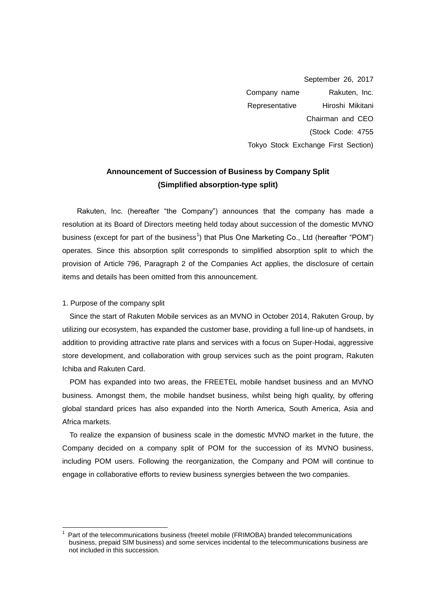September 26, 2017 Company name Rakuten, Inc. Representative Hiroshi Mikitani Chairman and CEO (Stock Code: 4755 Tokyo Stock Exchange First Section)

# **Announcement of Succession of Business by Company Split (Simplified absorption-type split)**

Rakuten, Inc. (hereafter "the Company") announces that the company has made a resolution at its Board of Directors meeting held today about succession of the domestic MVNO business (except for part of the business<sup>1</sup>) that Plus One Marketing Co., Ltd (hereafter "POM") operates. Since this absorption split corresponds to simplified absorption split to which the provision of Article 796, Paragraph 2 of the Companies Act applies, the disclosure of certain items and details has been omitted from this announcement.

#### 1. Purpose of the company split

 $\overline{a}$ 

Since the start of Rakuten Mobile services as an MVNO in October 2014, Rakuten Group, by utilizing our ecosystem, has expanded the customer base, providing a full line-up of handsets, in addition to providing attractive rate plans and services with a focus on Super-Hodai, aggressive store development, and collaboration with group services such as the point program, Rakuten Ichiba and Rakuten Card.

POM has expanded into two areas, the FREETEL mobile handset business and an MVNO business. Amongst them, the mobile handset business, whilst being high quality, by offering global standard prices has also expanded into the North America, South America, Asia and Africa markets.

To realize the expansion of business scale in the domestic MVNO market in the future, the Company decided on a company split of POM for the succession of its MVNO business, including POM users. Following the reorganization, the Company and POM will continue to engage in collaborative efforts to review business synergies between the two companies.

<sup>1</sup> Part of the telecommunications business (freetel mobile (FRIMOBA) branded telecommunications business, prepaid SIM business) and some services incidental to the telecommunications business are not included in this succession.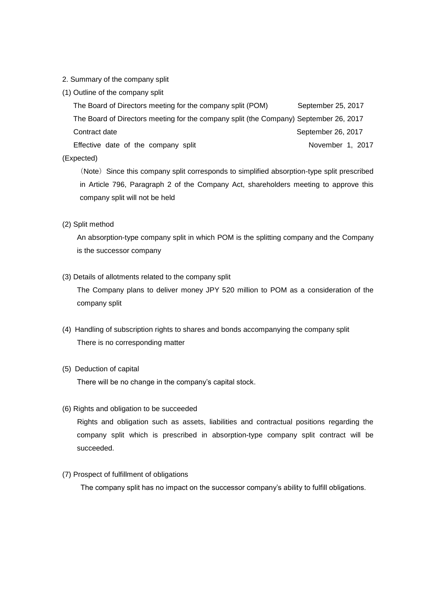- 2. Summary of the company split
- (1) Outline of the company split

The Board of Directors meeting for the company split (POM) September 25, 2017 The Board of Directors meeting for the company split (the Company) September 26, 2017 Contract date September 26, 2017 Effective date of the company split The November 1, 2017

### (Expected)

(Note) Since this company split corresponds to simplified absorption-type split prescribed in Article 796, Paragraph 2 of the Company Act, shareholders meeting to approve this company split will not be held

#### (2) Split method

An absorption-type company split in which POM is the splitting company and the Company is the successor company

### (3) Details of allotments related to the company split

The Company plans to deliver money JPY 520 million to POM as a consideration of the company split

(4) Handling of subscription rights to shares and bonds accompanying the company split There is no corresponding matter

#### (5) Deduction of capital

There will be no change in the company's capital stock.

#### (6) Rights and obligation to be succeeded

 Rights and obligation such as assets, liabilities and contractual positions regarding the company split which is prescribed in absorption-type company split contract will be succeeded.

#### (7) Prospect of fulfillment of obligations

The company split has no impact on the successor company's ability to fulfill obligations.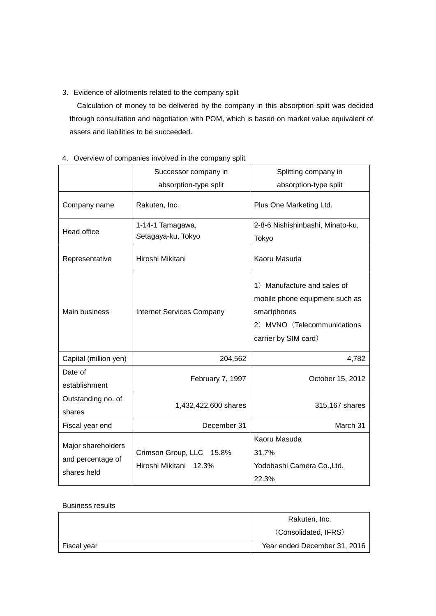3.Evidence of allotments related to the company split

Calculation of money to be delivered by the company in this absorption split was decided through consultation and negotiation with POM, which is based on market value equivalent of assets and liabilities to be succeeded.

|                                                        | Successor company in                               | Splitting company in                                                                                                                |  |
|--------------------------------------------------------|----------------------------------------------------|-------------------------------------------------------------------------------------------------------------------------------------|--|
|                                                        | absorption-type split                              | absorption-type split                                                                                                               |  |
| Company name                                           | Rakuten, Inc.                                      | Plus One Marketing Ltd.                                                                                                             |  |
| <b>Head office</b>                                     | 1-14-1 Tamagawa,<br>Setagaya-ku, Tokyo             | 2-8-6 Nishishinbashi, Minato-ku,<br>Tokyo                                                                                           |  |
| Representative                                         | Hiroshi Mikitani                                   | Kaoru Masuda                                                                                                                        |  |
| Main business                                          | <b>Internet Services Company</b>                   | 1) Manufacture and sales of<br>mobile phone equipment such as<br>smartphones<br>2) MVNO (Telecommunications<br>carrier by SIM card) |  |
| Capital (million yen)                                  | 204,562                                            | 4,782                                                                                                                               |  |
| Date of<br>establishment                               | February 7, 1997                                   | October 15, 2012                                                                                                                    |  |
| Outstanding no. of<br>shares                           | 1,432,422,600 shares                               | 315,167 shares                                                                                                                      |  |
| Fiscal year end                                        | December 31                                        | March 31                                                                                                                            |  |
| Major shareholders<br>and percentage of<br>shares held | Crimson Group, LLC 15.8%<br>Hiroshi Mikitani 12.3% | Kaoru Masuda<br>31.7%<br>Yodobashi Camera Co., Ltd.<br>22.3%                                                                        |  |

4. Overview of companies involved in the company split

#### Business results

|             | Rakuten, Inc.                |  |
|-------------|------------------------------|--|
|             | (Consolidated, IFRS)         |  |
| Fiscal year | Year ended December 31, 2016 |  |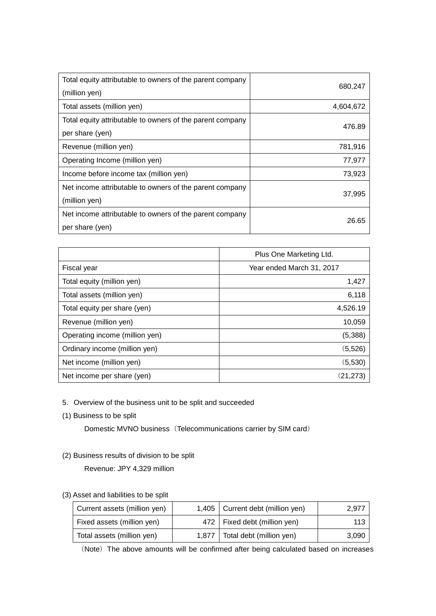| Total equity attributable to owners of the parent company<br>(million yen) | 680,247   |
|----------------------------------------------------------------------------|-----------|
| Total assets (million yen)                                                 | 4,604,672 |
| Total equity attributable to owners of the parent company                  | 476.89    |
| per share (yen)                                                            |           |
| Revenue (million yen)                                                      | 781,916   |
| Operating Income (million yen)                                             | 77,977    |
| Income before income tax (million yen)                                     | 73,923    |
| Net income attributable to owners of the parent company                    |           |
| (million yen)                                                              | 37,995    |
| Net income attributable to owners of the parent company                    | 26.65     |
| per share (yen)                                                            |           |

|                                | Plus One Marketing Ltd.   |  |
|--------------------------------|---------------------------|--|
| Fiscal year                    | Year ended March 31, 2017 |  |
| Total equity (million yen)     | 1,427                     |  |
| Total assets (million yen)     | 6,118                     |  |
| Total equity per share (yen)   | 4,526.19                  |  |
| Revenue (million yen)          | 10,059                    |  |
| Operating income (million yen) | (5,388)                   |  |
| Ordinary income (million yen)  | (5, 526)                  |  |
| Net income (million yen)       | (5,530)                   |  |
| Net income per share (yen)     | (21, 273)                 |  |

### 5. Overview of the business unit to be split and succeeded

(1) Business to be split

Domestic MVNO business (Telecommunications carrier by SIM card)

## (2) Business results of division to be split

Revenue: JPY 4,329 million

### (3) Asset and liabilities to be split

| Current assets (million yen) |       | 1,405   Current debt (million yen) | 2.977 |
|------------------------------|-------|------------------------------------|-------|
| Fixed assets (million yen)   |       | 472   Fixed debt (million yen)     | 113   |
| Total assets (million yen)   | 1.877 | Total debt (million yen)           | 3,090 |

(Note) The above amounts will be confirmed after being calculated based on increases